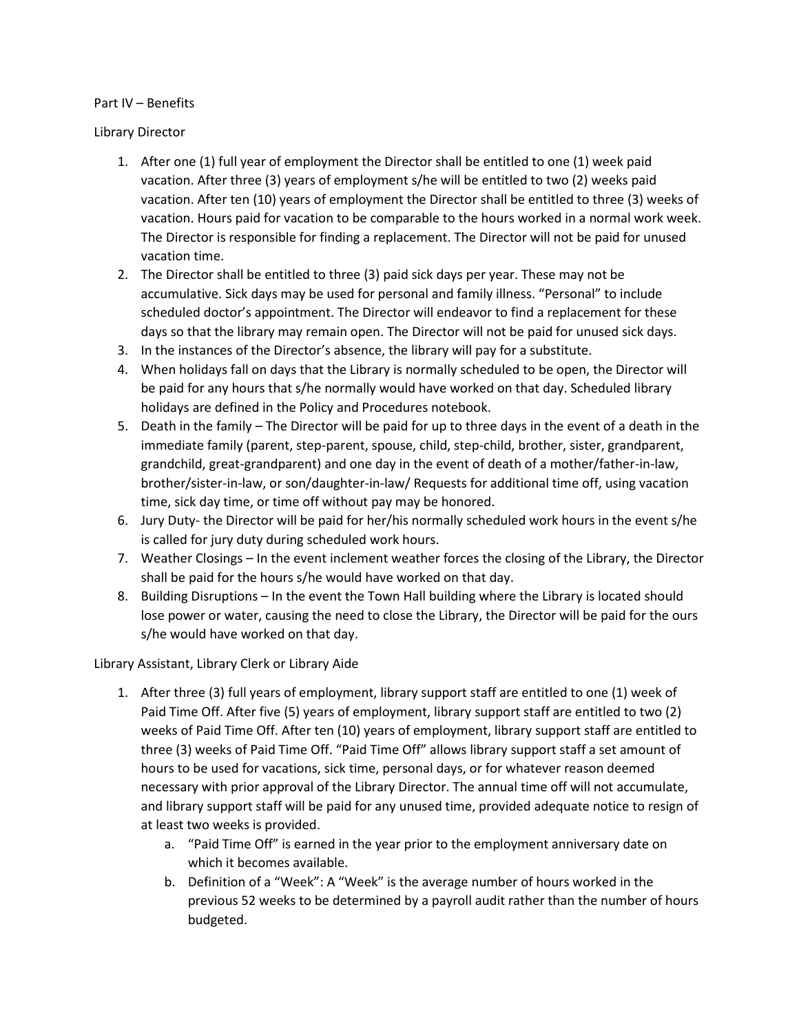## Part IV – Benefits

## Library Director

- 1. After one (1) full year of employment the Director shall be entitled to one (1) week paid vacation. After three (3) years of employment s/he will be entitled to two (2) weeks paid vacation. After ten (10) years of employment the Director shall be entitled to three (3) weeks of vacation. Hours paid for vacation to be comparable to the hours worked in a normal work week. The Director is responsible for finding a replacement. The Director will not be paid for unused vacation time.
- 2. The Director shall be entitled to three (3) paid sick days per year. These may not be accumulative. Sick days may be used for personal and family illness. "Personal" to include scheduled doctor's appointment. The Director will endeavor to find a replacement for these days so that the library may remain open. The Director will not be paid for unused sick days.
- 3. In the instances of the Director's absence, the library will pay for a substitute.
- 4. When holidays fall on days that the Library is normally scheduled to be open, the Director will be paid for any hours that s/he normally would have worked on that day. Scheduled library holidays are defined in the Policy and Procedures notebook.
- 5. Death in the family The Director will be paid for up to three days in the event of a death in the immediate family (parent, step-parent, spouse, child, step-child, brother, sister, grandparent, grandchild, great-grandparent) and one day in the event of death of a mother/father-in-law, brother/sister-in-law, or son/daughter-in-law/ Requests for additional time off, using vacation time, sick day time, or time off without pay may be honored.
- 6. Jury Duty- the Director will be paid for her/his normally scheduled work hours in the event s/he is called for jury duty during scheduled work hours.
- 7. Weather Closings In the event inclement weather forces the closing of the Library, the Director shall be paid for the hours s/he would have worked on that day.
- 8. Building Disruptions In the event the Town Hall building where the Library is located should lose power or water, causing the need to close the Library, the Director will be paid for the ours s/he would have worked on that day.

## Library Assistant, Library Clerk or Library Aide

- 1. After three (3) full years of employment, library support staff are entitled to one (1) week of Paid Time Off. After five (5) years of employment, library support staff are entitled to two (2) weeks of Paid Time Off. After ten (10) years of employment, library support staff are entitled to three (3) weeks of Paid Time Off. "Paid Time Off" allows library support staff a set amount of hours to be used for vacations, sick time, personal days, or for whatever reason deemed necessary with prior approval of the Library Director. The annual time off will not accumulate, and library support staff will be paid for any unused time, provided adequate notice to resign of at least two weeks is provided.
	- a. "Paid Time Off" is earned in the year prior to the employment anniversary date on which it becomes available.
	- b. Definition of a "Week": A "Week" is the average number of hours worked in the previous 52 weeks to be determined by a payroll audit rather than the number of hours budgeted.